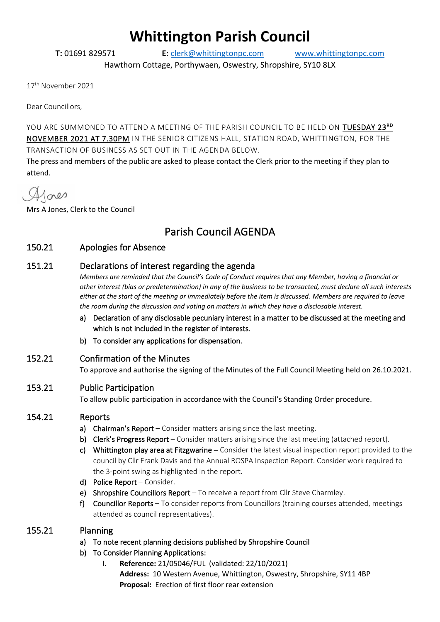# **Whittington Parish Council**

**T:** 01691 829571 **E:** [clerk@whittingtonpc.com](mailto:clerk@whittingtonpc.com) [www.whittingtonpc.com](http://www.whittingtonpc.com/)

Hawthorn Cottage, Porthywaen, Oswestry, Shropshire, SY10 8LX

17th November 2021

Dear Councillors,

YOU ARE SUMMONED TO ATTEND A MEETING OF THE PARISH COUNCIL TO BE HELD ON  $\overline{\text{TUESDAY 23}^{\text{RD}}}$ NOVEMBER 2021 AT 7.30PM IN THE SENIOR CITIZENS HALL, STATION ROAD, WHITTINGTON, FOR THE TRANSACTION OF BUSINESS AS SET OUT IN THE AGENDA BELOW.

The press and members of the public are asked to please contact the Clerk prior to the meeting if they plan to attend.

Alores

Mrs A Jones, Clerk to the Council

# Parish Council AGENDA

# 150.21 Apologies for Absence

# 151.21 Declarations of interest regarding the agenda

*Members are reminded that the Council's Code of Conduct requires that any Member, having a financial or other interest (bias or predetermination) in any of the business to be transacted, must declare all such interests either at the start of the meeting or immediately before the item is discussed. Members are required to leave the room during the discussion and voting on matters in which they have a disclosable interest.*

- a) Declaration of any disclosable pecuniary interest in a matter to be discussed at the meeting and which is not included in the register of interests.
- b) To consider any applications for dispensation.

# 152.21 Confirmation of the Minutes

To approve and authorise the signing of the Minutes of the Full Council Meeting held on 26.10.2021.

# 153.21 Public Participation

To allow public participation in accordance with the Council's Standing Order procedure.

# 154.21 Reports

- a) Chairman's Report Consider matters arising since the last meeting.
- b) Clerk's Progress Report Consider matters arising since the last meeting (attached report).
- c) Whittington play area at Fitzgwarine Consider the latest visual inspection report provided to the council by Cllr Frank Davis and the Annual ROSPA Inspection Report. Consider work required to the 3-point swing as highlighted in the report.
- d) Police Report Consider.
- e) Shropshire Councillors Report To receive a report from Cllr Steve Charmley.
- f) Councillor Reports To consider reports from Councillors (training courses attended, meetings attended as council representatives).

# 155.21 Planning

- a) To note recent planning decisions published by Shropshire Council
- b) To Consider Planning Applications:
	- I. **Reference:** 21/05046/FUL (validated: 22/10/2021) **Address:** 10 Western Avenue, Whittington, Oswestry, Shropshire, SY11 4BP **Proposal:** Erection of first floor rear extension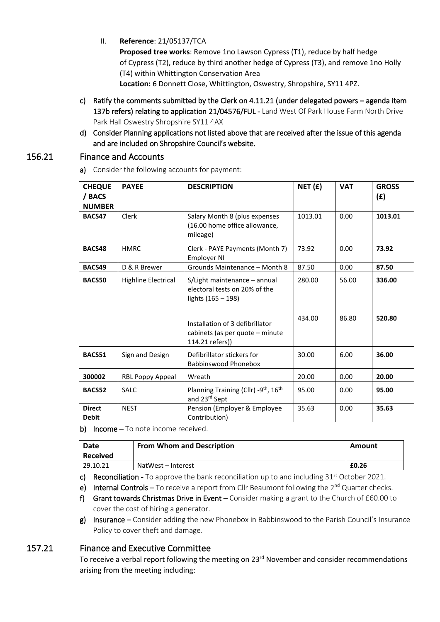II. **Reference**: 21/05137/TCA

**Proposed tree works**: Remove 1no Lawson Cypress (T1), reduce by half hedge of Cypress (T2), reduce by third another hedge of Cypress (T3), and remove 1no Holly (T4) within Whittington Conservation Area

**Location:** 6 Donnett Close, Whittington, Oswestry, Shropshire, SY11 4PZ.

- c) Ratify the comments submitted by the Clerk on 4.11.21 (under delegated powers agenda item 137b refers) relating to application 21/04576/FUL - Land West Of Park House Farm North Drive Park Hall Oswestry Shropshire SY11 4AX
- d) Consider Planning applications not listed above that are received after the issue of this agenda and are included on Shropshire Council's website.

## 156.21 Finance and Accounts

a) Consider the following accounts for payment:

| <b>CHEQUE</b><br>/ BACS<br><b>NUMBER</b> | <b>PAYEE</b>               | <b>DESCRIPTION</b>                                                                    | NET(f)  | <b>VAT</b> | <b>GROSS</b><br>(f) |
|------------------------------------------|----------------------------|---------------------------------------------------------------------------------------|---------|------------|---------------------|
| BACS47                                   | Clerk                      | Salary Month 8 (plus expenses<br>(16.00 home office allowance,<br>mileage)            | 1013.01 | 0.00       | 1013.01             |
| BACS48                                   | <b>HMRC</b>                | Clerk - PAYE Payments (Month 7)<br><b>Employer NI</b>                                 | 73.92   | 0.00       | 73.92               |
| BACS49                                   | D & R Brewer               | Grounds Maintenance - Month 8                                                         | 87.50   | 0.00       | 87.50               |
| <b>BACS50</b>                            | <b>Highline Electrical</b> | S/Light maintenance – annual<br>electoral tests on 20% of the<br>lights (165 – 198)   | 280.00  | 56.00      | 336.00              |
|                                          |                            | Installation of 3 defibrillator<br>cabinets (as per quote – minute<br>114.21 refers)) | 434.00  | 86.80      | 520.80              |
| BACS51                                   | Sign and Design            | Defibrillator stickers for<br>Babbinswood Phonebox                                    | 30.00   | 6.00       | 36.00               |
| 300002                                   | RBL Poppy Appeal           | Wreath                                                                                | 20.00   | 0.00       | 20.00               |
| BACS52                                   | <b>SALC</b>                | Planning Training (Cllr) -9 <sup>th</sup> , 16 <sup>th</sup><br>and 23rd Sept         | 95.00   | 0.00       | 95.00               |
| <b>Direct</b><br><b>Debit</b>            | <b>NEST</b>                | Pension (Employer & Employee<br>Contribution)                                         | 35.63   | 0.00       | 35.63               |

b) Income – To note income received.

| Date<br><b>Received</b> | <b>From Whom and Description</b> | Amount |
|-------------------------|----------------------------------|--------|
| 29.10.21                | NatWest – Interest               | £0.26  |

c) Reconciliation - To approve the bank reconciliation up to and including 31<sup>st</sup> October 2021.

- e) Internal Controls To receive a report from Cllr Beaumont following the  $2^{nd}$  Quarter checks.
- f) Grant towards Christmas Drive in Event Consider making a grant to the Church of £60.00 to cover the cost of hiring a generator.
- $g$ ) Insurance Consider adding the new Phonebox in Babbinswood to the Parish Council's Insurance Policy to cover theft and damage.

# 157.21 Finance and Executive Committee

To receive a verbal report following the meeting on 23<sup>rd</sup> November and consider recommendations arising from the meeting including: